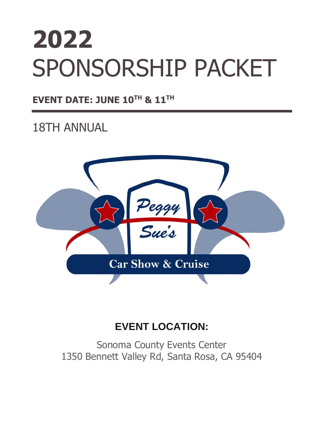# **2022** SPONSORSHIP PACKET

### **EVENT DATE: JUNE 10TH & 11 TH**

## 18TH ANNUAL



## **EVENT LOCATION:**

Sonoma County Events Center 1350 Bennett Valley Rd, Santa Rosa, CA 95404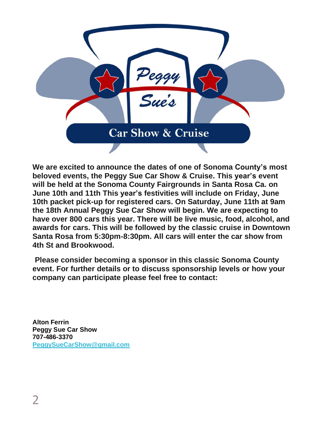

**We are excited to announce the dates of one of Sonoma County's most beloved events, the Peggy Sue Car Show & Cruise. This year's event will be held at the Sonoma County Fairgrounds in Santa Rosa Ca. on June 10th and 11th This year's festivities will include on Friday, June 10th packet pick-up for registered cars. On Saturday, June 11th at 9am the 18th Annual Peggy Sue Car Show will begin. We are expecting to have over 800 cars this year. There will be live music, food, alcohol, and awards for cars. This will be followed by the classic cruise in Downtown Santa Rosa from 5:30pm-8:30pm. All cars will enter the car show from 4th St and Brookwood.**

**Please consider becoming a sponsor in this classic Sonoma County event. For further details or to discuss sponsorship levels or how your company can participate please feel free to contact:**

**Alton Ferrin Peggy Sue Car Show 707-486-3370 [PeggySueCarShow@gmail.com](mailto:PeggySueCarShow@gmail.com)**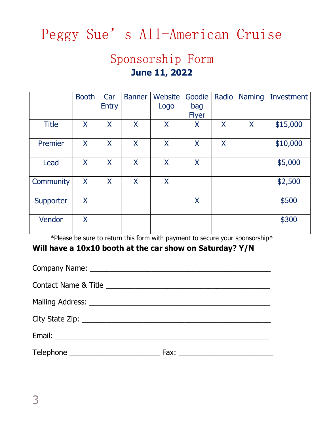## Peggy Sue's All-American Cruise

## Sponsorship Form **June 11, 2022**

| <b>Booth</b> | Car<br><b>Entry</b> | <b>Banner</b> | Website<br>Logo | Goodie<br>bag<br><b>Flyer</b> | Radio | <b>Naming</b> | Investment |
|--------------|---------------------|---------------|-----------------|-------------------------------|-------|---------------|------------|
| X            | X                   | X             | $\sf X$         | X                             | X     | X             | \$15,000   |
| X            | X                   | X             | X               | X                             | X     |               | \$10,000   |
| X            | X                   | X             | X               | X                             |       |               | \$5,000    |
| X            | X                   | X             | X               |                               |       |               | \$2,500    |
| X            |                     |               |                 | X                             |       |               | \$500      |
| X            |                     |               |                 |                               |       |               | \$300      |
|              |                     |               |                 |                               |       |               | $*n$       |

\*Please be sure to return this form with payment to secure your sponsorship\*

#### **Will have a 10x10 booth at the car show on Saturday? Y/N**